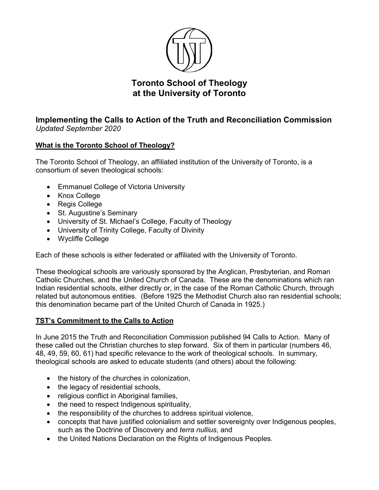

# **Toronto School of Theology at the University of Toronto**

# **Implementing the Calls to Action of the Truth and Reconciliation Commission** *Updated September 2020*

# **What is the Toronto School of Theology?**

The Toronto School of Theology, an affiliated institution of the University of Toronto, is a consortium of seven theological schools:

- Emmanuel College of Victoria University
- Knox College
- Regis College
- St. Augustine's Seminary
- University of St. Michael's College, Faculty of Theology
- University of Trinity College, Faculty of Divinity
- Wycliffe College

Each of these schools is either federated or affiliated with the University of Toronto.

These theological schools are variously sponsored by the Anglican, Presbyterian, and Roman Catholic Churches, and the United Church of Canada. These are the denominations which ran Indian residential schools, either directly or, in the case of the Roman Catholic Church, through related but autonomous entities. (Before 1925 the Methodist Church also ran residential schools; this denomination became part of the United Church of Canada in 1925.)

## **TST's Commitment to the Calls to Action**

In June 2015 the Truth and Reconciliation Commission published 94 Calls to Action. Many of these called out the Christian churches to step forward. Six of them in particular (numbers 46, 48, 49, 59, 60, 61) had specific relevance to the work of theological schools. In summary, theological schools are asked to educate students (and others) about the following:

- the history of the churches in colonization,
- the legacy of residential schools,
- religious conflict in Aboriginal families,
- the need to respect Indigenous spirituality,
- the responsibility of the churches to address spiritual violence,
- concepts that have justified colonialism and settler sovereignty over Indigenous peoples, such as the Doctrine of Discovery and *terra nullius*, and
- the United Nations Declaration on the Rights of Indigenous Peoples.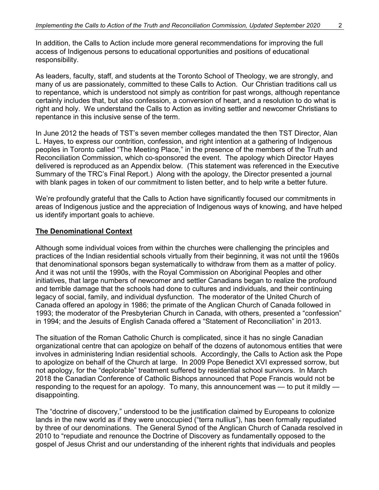In addition, the Calls to Action include more general recommendations for improving the full access of Indigenous persons to educational opportunities and positions of educational responsibility.

As leaders, faculty, staff, and students at the Toronto School of Theology, we are strongly, and many of us are passionately, committed to these Calls to Action. Our Christian traditions call us to repentance, which is understood not simply as contrition for past wrongs, although repentance certainly includes that, but also confession, a conversion of heart, and a resolution to do what is right and holy. We understand the Calls to Action as inviting settler and newcomer Christians to repentance in this inclusive sense of the term.

In June 2012 the heads of TST's seven member colleges mandated the then TST Director, Alan L. Hayes, to express our contrition, confession, and right intention at a gathering of Indigenous peoples in Toronto called "The Meeting Place," in the presence of the members of the Truth and Reconciliation Commission, which co-sponsored the event. The apology which Director Hayes delivered is reproduced as an Appendix below. (This statement was referenced in the Executive Summary of the TRC's Final Report.) Along with the apology, the Director presented a journal with blank pages in token of our commitment to listen better, and to help write a better future.

We're profoundly grateful that the Calls to Action have significantly focused our commitments in areas of Indigenous justice and the appreciation of Indigenous ways of knowing, and have helped us identify important goals to achieve.

#### **The Denominational Context**

Although some individual voices from within the churches were challenging the principles and practices of the Indian residential schools virtually from their beginning, it was not until the 1960s that denominational sponsors began systematically to withdraw from them as a matter of policy. And it was not until the 1990s, with the Royal Commission on Aboriginal Peoples and other initiatives, that large numbers of newcomer and settler Canadians began to realize the profound and terrible damage that the schools had done to cultures and individuals, and their continuing legacy of social, family, and individual dysfunction. The moderator of the United Church of Canada offered an apology in 1986; the primate of the Anglican Church of Canada followed in 1993; the moderator of the Presbyterian Church in Canada, with others, presented a "confession" in 1994; and the Jesuits of English Canada offered a "Statement of Reconciliation" in 2013.

The situation of the Roman Catholic Church is complicated, since it has no single Canadian organizational centre that can apologize on behalf of the dozens of autonomous entities that were involves in administering Indian residential schools. Accordingly, the Calls to Action ask the Pope to apologize on behalf of the Church at large. In 2009 Pope Benedict XVI expressed sorrow, but not apology, for the "deplorable" treatment suffered by residential school survivors. In March 2018 the Canadian Conference of Catholic Bishops announced that Pope Francis would not be responding to the request for an apology. To many, this announcement was — to put it mildly disappointing.

The "doctrine of discovery," understood to be the justification claimed by Europeans to colonize lands in the new world as if they were unoccupied ("terra nullius"), has been formally repudiated by three of our denominations. The General Synod of the Anglican Church of Canada resolved in 2010 to "repudiate and renounce the Doctrine of Discovery as fundamentally opposed to the gospel of Jesus Christ and our understanding of the inherent rights that individuals and peoples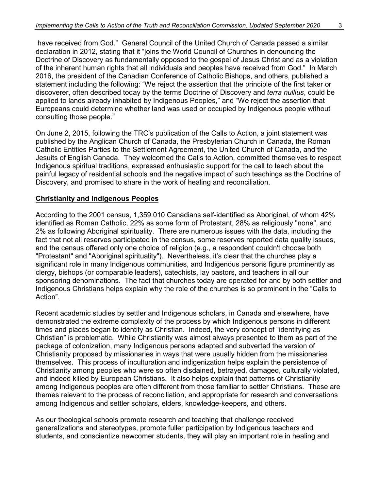have received from God." General Council of the United Church of Canada passed a similar declaration in 2012, stating that it "joins the World Council of Churches in denouncing the Doctrine of Discovery as fundamentally opposed to the gospel of Jesus Christ and as a violation of the inherent human rights that all individuals and peoples have received from God." In March 2016, the president of the Canadian Conference of Catholic Bishops, and others, published a statement including the following: "We reject the assertion that the principle of the first taker or discoverer, often described today by the terms Doctrine of Discovery and *terra nullius*, could be applied to lands already inhabited by Indigenous Peoples," and "We reject the assertion that Europeans could determine whether land was used or occupied by Indigenous people without consulting those people."

On June 2, 2015, following the TRC's publication of the Calls to Action, a joint statement was published by the Anglican Church of Canada, the Presbyterian Church in Canada, the Roman Catholic Entities Parties to the Settlement Agreement, the United Church of Canada, and the Jesuits of English Canada. They welcomed the Calls to Action, committed themselves to respect Indigenous spiritual traditions, expressed enthusiastic support for the call to teach about the painful legacy of residential schools and the negative impact of such teachings as the Doctrine of Discovery, and promised to share in the work of healing and reconciliation.

#### **Christianity and Indigenous Peoples**

According to the 2001 census, 1,359.010 Canadians self-identified as Aboriginal, of whom 42% identified as Roman Catholic, 22% as some form of Protestant, 28% as religiously "none", and 2% as following Aboriginal spirituality. There are numerous issues with the data, including the fact that not all reserves participated in the census, some reserves reported data quality issues, and the census offered only one choice of religion (e.g., a respondent couldn't choose both "Protestant" and "Aboriginal spirituality"). Nevertheless, it's clear that the churches play a significant role in many Indigenous communities, and Indigenous persons figure prominently as clergy, bishops (or comparable leaders), catechists, lay pastors, and teachers in all our sponsoring denominations. The fact that churches today are operated for and by both settler and Indigenous Christians helps explain why the role of the churches is so prominent in the "Calls to Action".

Recent academic studies by settler and Indigenous scholars, in Canada and elsewhere, have demonstrated the extreme complexity of the process by which Indigenous persons in different times and places began to identify as Christian. Indeed, the very concept of "identifying as Christian" is problematic. While Christianity was almost always presented to them as part of the package of colonization, many Indigenous persons adapted and subverted the version of Christianity proposed by missionaries in ways that were usually hidden from the missionaries themselves. This process of inculturation and indigenization helps explain the persistence of Christianity among peoples who were so often disdained, betrayed, damaged, culturally violated, and indeed killed by European Christians. It also helps explain that patterns of Christianity among Indigenous peoples are often different from those familiar to settler Christians. These are themes relevant to the process of reconciliation, and appropriate for research and conversations among Indigenous and settler scholars, elders, knowledge-keepers, and others.

As our theological schools promote research and teaching that challenge received generalizations and stereotypes, promote fuller participation by Indigenous teachers and students, and conscientize newcomer students, they will play an important role in healing and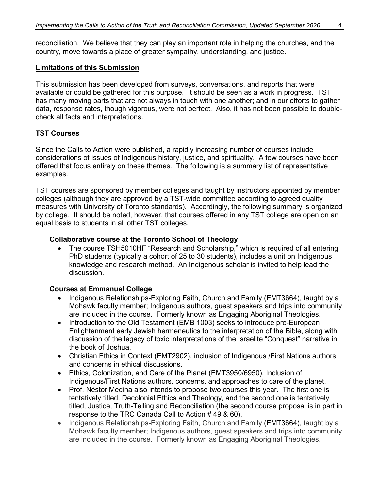reconciliation. We believe that they can play an important role in helping the churches, and the country, move towards a place of greater sympathy, understanding, and justice.

#### **Limitations of this Submission**

This submission has been developed from surveys, conversations, and reports that were available or could be gathered for this purpose. It should be seen as a work in progress. TST has many moving parts that are not always in touch with one another; and in our efforts to gather data, response rates, though vigorous, were not perfect. Also, it has not been possible to doublecheck all facts and interpretations.

#### **TST Courses**

Since the Calls to Action were published, a rapidly increasing number of courses include considerations of issues of Indigenous history, justice, and spirituality. A few courses have been offered that focus entirely on these themes. The following is a summary list of representative examples.

TST courses are sponsored by member colleges and taught by instructors appointed by member colleges (although they are approved by a TST-wide committee according to agreed quality measures with University of Toronto standards). Accordingly, the following summary is organized by college. It should be noted, however, that courses offered in any TST college are open on an equal basis to students in all other TST colleges.

#### **Collaborative course at the Toronto School of Theology**

• The course TSH5010HF "Research and Scholarship," which is required of all entering PhD students (typically a cohort of 25 to 30 students), includes a unit on Indigenous knowledge and research method. An Indigenous scholar is invited to help lead the discussion.

#### **Courses at Emmanuel College**

- Indigenous Relationships-Exploring Faith, Church and Family (EMT3664), taught by a Mohawk faculty member; Indigenous authors, guest speakers and trips into community are included in the course. Formerly known as Engaging Aboriginal Theologies.
- Introduction to the Old Testament (EMB 1003) seeks to introduce pre-European Enlightenment early Jewish hermeneutics to the interpretation of the Bible, along with discussion of the legacy of toxic interpretations of the Israelite "Conquest" narrative in the book of Joshua.
- Christian Ethics in Context (EMT2902), inclusion of Indigenous /First Nations authors and concerns in ethical discussions.
- Ethics, Colonization, and Care of the Planet (EMT3950/6950), Inclusion of Indigenous/First Nations authors, concerns, and approaches to care of the planet.
- Prof. Néstor Medina also intends to propose two courses this year. The first one is tentatively titled, Decolonial Ethics and Theology, and the second one is tentatively titled, Justice, Truth-Telling and Reconciliation (the second course proposal is in part in response to the TRC Canada Call to Action # 49 & 60).
- Indigenous Relationships-Exploring Faith, Church and Family (EMT3664), taught by a Mohawk faculty member; Indigenous authors, guest speakers and trips into community are included in the course. Formerly known as Engaging Aboriginal Theologies.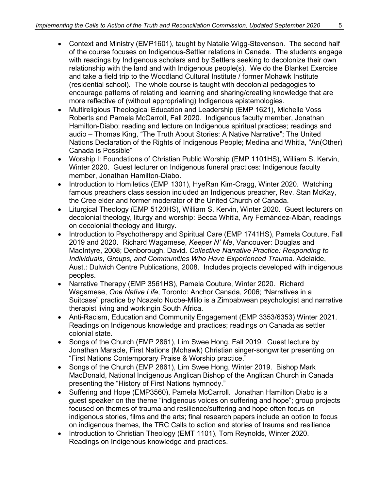- Context and Ministry (EMP1601), taught by Natalie Wigg-Stevenson. The second half of the course focuses on Indigenous-Settler relations in Canada. The students engage with readings by Indigenous scholars and by Settlers seeking to decolonize their own relationship with the land and with Indigenous people(s). We do the Blanket Exercise and take a field trip to the Woodland Cultural Institute / former Mohawk Institute (residential school). The whole course is taught with decolonial pedagogies to encourage patterns of relating and learning and sharing/creating knowledge that are more reflective of (without appropriating) Indigenous epistemologies.
- Multireligious Theological Education and Leadership (EMP 1621), Michelle Voss Roberts and Pamela McCarroll, Fall 2020. Indigenous faculty member, Jonathan Hamilton-Diabo; reading and lecture on Indigenous spiritual practices; readings and audio – Thomas King, "The Truth About Stories: A Native Narrative"; The United Nations Declaration of the Rights of Indigenous People; Medina and Whitla, "An(Other) Canada is Possible"
- Worship I: Foundations of Christian Public Worship (EMP 1101HS), William S. Kervin, Winter 2020. Guest lecturer on Indigenous funeral practices: Indigenous faculty member, Jonathan Hamilton-Diabo.
- Introduction to Homiletics (EMP 1301), HyeRan Kim-Cragg, Winter 2020. Watching famous preachers class session included an Indigenous preacher, Rev. Stan McKay, the Cree elder and former moderator of the United Church of Canada.
- Liturgical Theology (EMP 5120HS), William S. Kervin, Winter 2020. Guest lecturers on decolonial theology, liturgy and worship: Becca Whitla, Ary Fernández-Albán, readings on decolonial theology and liturgy.
- Introduction to Psychotherapy and Spiritual Care (EMP 1741HS), Pamela Couture, Fall 2019 and 2020. Richard Wagamese, *Keeper N' Me*, Vancouver: Douglas and MacIntyre, 2008; Denborough, David. *Collective Narrative Practice: Responding to Individuals, Groups, and Communities Who Have Experienced Trauma.* Adelaide, Aust.: Dulwich Centre Publications, 2008. Includes projects developed with indigenous peoples.
- Narrative Therapy (EMP 3561HS), Pamela Couture, Winter 2020. Richard Wagamese, *One Native Life*, Toronto: Anchor Canada, 2006; "Narratives in a Suitcase" practice by Ncazelo Nucbe-Mlilo is a Zimbabwean psychologist and narrative therapist living and workingin South Africa.
- Anti-Racism, Education and Community Engagement (EMP 3353/6353) Winter 2021. Readings on Indigenous knowledge and practices; readings on Canada as settler colonial state.
- Songs of the Church (EMP 2861), Lim Swee Hong, Fall 2019. Guest lecture by Jonathan Maracle, First Nations (Mohawk) Christian singer-songwriter presenting on "First Nations Contemporary Praise & Worship practice."
- Songs of the Church (EMP 2861), Lim Swee Hong, Winter 2019. Bishop Mark MacDonald, National Indigenous Anglican Bishop of the Anglican Church in Canada presenting the "History of First Nations hymnody."
- Suffering and Hope (EMP3560), Pamela McCarroll. Jonathan Hamilton Diabo is a guest speaker on the theme "indigenous voices on suffering and hope"; group projects focused on themes of trauma and resilience/suffering and hope often focus on indigenous stories, films and the arts; final research papers include an option to focus on indigenous themes, the TRC Calls to action and stories of trauma and resilience
- Introduction to Christian Theology (EMT 1101), Tom Reynolds, Winter 2020. Readings on Indigenous knowledge and practices.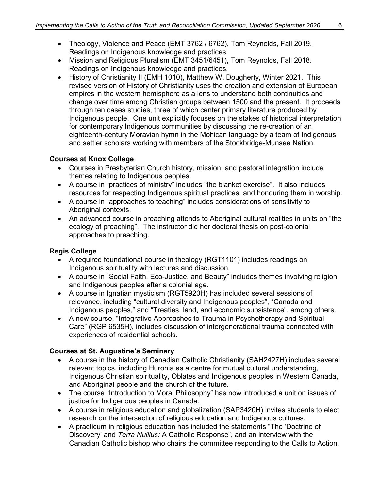- Theology, Violence and Peace (EMT 3762 / 6762), Tom Reynolds, Fall 2019. Readings on Indigenous knowledge and practices.
- Mission and Religious Pluralism (EMT 3451/6451), Tom Reynolds, Fall 2018. Readings on Indigenous knowledge and practices.
- History of Christianity II (EMH 1010), Matthew W. Dougherty, Winter 2021. This revised version of History of Christianity uses the creation and extension of European empires in the western hemisphere as a lens to understand both continuities and change over time among Christian groups between 1500 and the present. It proceeds through ten cases studies, three of which center primary literature produced by Indigenous people. One unit explicitly focuses on the stakes of historical interpretation for contemporary Indigenous communities by discussing the re-creation of an eighteenth-century Moravian hymn in the Mohican language by a team of Indigenous and settler scholars working with members of the Stockbridge-Munsee Nation.

## **Courses at Knox College**

- Courses in Presbyterian Church history, mission, and pastoral integration include themes relating to Indigenous peoples.
- A course in "practices of ministry" includes "the blanket exercise". It also includes resources for respecting Indigenous spiritual practices, and honouring them in worship.
- A course in "approaches to teaching" includes considerations of sensitivity to Aboriginal contexts.
- An advanced course in preaching attends to Aboriginal cultural realities in units on "the ecology of preaching". The instructor did her doctoral thesis on post-colonial approaches to preaching.

# **Regis College**

- A required foundational course in theology (RGT1101) includes readings on Indigenous spirituality with lectures and discussion.
- A course in "Social Faith, Eco-Justice, and Beauty" includes themes involving religion and Indigenous peoples after a colonial age.
- A course in Ignatian mysticism (RGT5920H) has included several sessions of relevance, including "cultural diversity and Indigenous peoples", "Canada and Indigenous peoples," and "Treaties, land, and economic subsistence", among others.
- A new course, "Integrative Approaches to Trauma in Psychotherapy and Spiritual Care" (RGP 6535H), includes discussion of intergenerational trauma connected with experiences of residential schools.

# **Courses at St. Augustine's Seminary**

- A course in the history of Canadian Catholic Christianity (SAH2427H) includes several relevant topics, including Huronia as a centre for mutual cultural understanding, Indigenous Christian spirituality, Oblates and Indigenous peoples in Western Canada, and Aboriginal people and the church of the future.
- The course "Introduction to Moral Philosophy" has now introduced a unit on issues of justice for Indigenous peoples in Canada.
- A course in religious education and globalization (SAP3420H) invites students to elect research on the intersection of religious education and Indigenous cultures.
- A practicum in religious education has included the statements "The 'Doctrine of Discovery' and *Terra Nullius:* A Catholic Response", and an interview with the Canadian Catholic bishop who chairs the committee responding to the Calls to Action.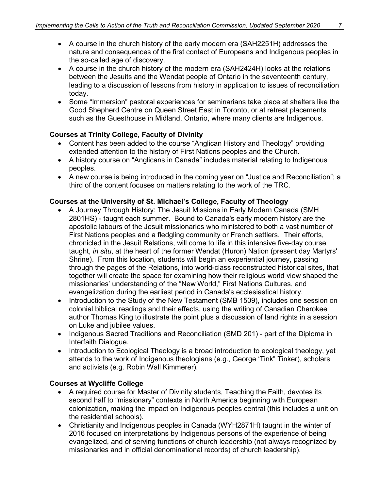- A course in the church history of the early modern era (SAH2251H) addresses the nature and consequences of the first contact of Europeans and Indigenous peoples in the so-called age of discovery.
- A course in the church history of the modern era (SAH2424H) looks at the relations between the Jesuits and the Wendat people of Ontario in the seventeenth century, leading to a discussion of lessons from history in application to issues of reconciliation today.
- Some "Immersion" pastoral experiences for seminarians take place at shelters like the Good Shepherd Centre on Queen Street East in Toronto, or at retreat placements such as the Guesthouse in Midland, Ontario, where many clients are Indigenous.

# **Courses at Trinity College, Faculty of Divinity**

- Content has been added to the course "Anglican History and Theology" providing extended attention to the history of First Nations peoples and the Church.
- A history course on "Anglicans in Canada" includes material relating to Indigenous peoples.
- A new course is being introduced in the coming year on "Justice and Reconciliation"; a third of the content focuses on matters relating to the work of the TRC.

## **Courses at the University of St. Michael's College, Faculty of Theology**

- A Journey Through History: The Jesuit Missions in Early Modern Canada (SMH 2801HS) - taught each summer. Bound to Canada's early modern history are the apostolic labours of the Jesuit missionaries who ministered to both a vast number of First Nations peoples and a fledgling community or French settlers. Their efforts, chronicled in the Jesuit Relations, will come to life in this intensive five-day course taught, *in situ*, at the heart of the former Wendat (Huron) Nation (present day Martyrs' Shrine). From this location, students will begin an experiential journey, passing through the pages of the Relations, into world-class reconstructed historical sites, that together will create the space for examining how their religious world view shaped the missionaries' understanding of the "New World," First Nations Cultures, and evangelization during the earliest period in Canada's ecclesiastical history.
- Introduction to the Study of the New Testament (SMB 1509), includes one session on colonial biblical readings and their effects, using the writing of Canadian Cherokee author Thomas King to illustrate the point plus a discussion of land rights in a session on Luke and jubilee values.
- Indigenous Sacred Traditions and Reconciliation (SMD 201) part of the Diploma in Interfaith Dialogue.
- Introduction to Ecological Theology is a broad introduction to ecological theology, yet attends to the work of Indigenous theologians (e.g., George 'Tink" Tinker), scholars and activists (e.g. Robin Wall Kimmerer).

## **Courses at Wycliffe College**

- A required course for Master of Divinity students, Teaching the Faith, devotes its second half to "missionary" contexts in North America beginning with European colonization, making the impact on Indigenous peoples central (this includes a unit on the residential schools).
- Christianity and Indigenous peoples in Canada (WYH2871H) taught in the winter of 2016 focused on interpretations by Indigenous persons of the experience of being evangelized, and of serving functions of church leadership (not always recognized by missionaries and in official denominational records) of church leadership).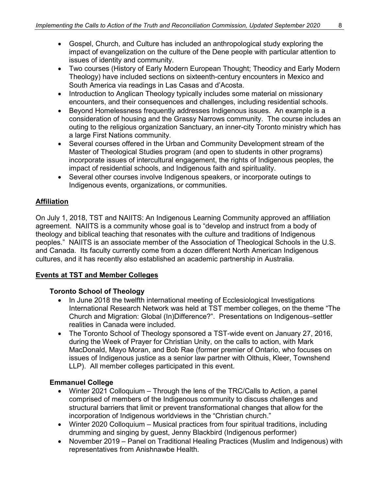- Gospel, Church, and Culture has included an anthropological study exploring the impact of evangelization on the culture of the Dene people with particular attention to issues of identity and community.
- Two courses (History of Early Modern European Thought; Theodicy and Early Modern Theology) have included sections on sixteenth-century encounters in Mexico and South America via readings in Las Casas and d'Acosta.
- Introduction to Anglican Theology typically includes some material on missionary encounters, and their consequences and challenges, including residential schools.
- Beyond Homelessness frequently addresses Indigenous issues. An example is a consideration of housing and the Grassy Narrows community. The course includes an outing to the religious organization Sanctuary, an inner-city Toronto ministry which has a large First Nations community.
- Several courses offered in the Urban and Community Development stream of the Master of Theological Studies program (and open to students in other programs) incorporate issues of intercultural engagement, the rights of Indigenous peoples, the impact of residential schools, and Indigenous faith and spirituality.
- Several other courses involve Indigenous speakers, or incorporate outings to Indigenous events, organizations, or communities.

# **Affiliation**

On July 1, 2018, TST and NAIITS: An Indigenous Learning Community approved an affiliation agreement. NAIITS is a community whose goal is to "develop and instruct from a body of theology and biblical teaching that resonates with the culture and traditions of Indigenous peoples." NAIITS is an associate member of the Association of Theological Schools in the U.S. and Canada. Its faculty currently come from a dozen different North American Indigenous cultures, and it has recently also established an academic partnership in Australia.

# **Events at TST and Member Colleges**

# **Toronto School of Theology**

- In June 2018 the twelfth international meeting of Ecclesiological Investigations International Research Network was held at TST member colleges, on the theme "The Church and Migration: Global (In)Difference?". Presentations on Indigenous–settler realities in Canada were included.
- The Toronto School of Theology sponsored a TST-wide event on January 27, 2016, during the Week of Prayer for Christian Unity, on the calls to action, with Mark MacDonald, Mayo Moran, and Bob Rae (former premier of Ontario, who focuses on issues of Indigenous justice as a senior law partner with Olthuis, Kleer, Townshend LLP). All member colleges participated in this event.

# **Emmanuel College**

- Winter 2021 Colloquium Through the lens of the TRC/Calls to Action, a panel comprised of members of the Indigenous community to discuss challenges and structural barriers that limit or prevent transformational changes that allow for the incorporation of Indigenous worldviews in the "Christian church."
- Winter 2020 Colloquium Musical practices from four spiritual traditions, including drumming and singing by guest, Jenny Blackbird (Indigenous performer)
- November 2019 Panel on Traditional Healing Practices (Muslim and Indigenous) with representatives from Anishnawbe Health.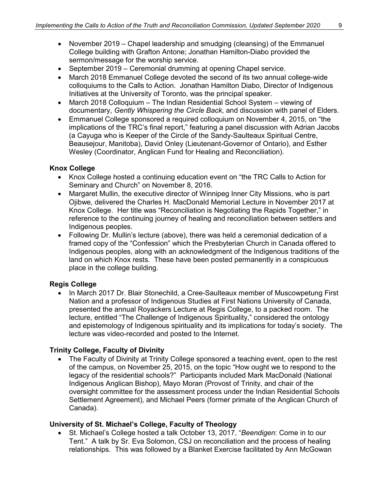- November 2019 Chapel leadership and smudging (cleansing) of the Emmanuel College building with Grafton Antone; Jonathan Hamilton-Diabo provided the sermon/message for the worship service.
- September 2019 Ceremonial drumming at opening Chapel service.
- March 2018 Emmanuel College devoted the second of its two annual college-wide colloquiums to the Calls to Action. Jonathan Hamilton Diabo, Director of Indigenous Initiatives at the University of Toronto, was the principal speaker.
- March 2018 Colloquium The Indian Residential School System viewing of documentary, *Gently Whispering the Circle Back*, and discussion with panel of Elders.
- Emmanuel College sponsored a required colloquium on November 4, 2015, on "the implications of the TRC's final report," featuring a panel discussion with Adrian Jacobs (a Cayuga who is Keeper of the Circle of the Sandy-Saulteaux Spiritual Centre, Beausejour, Manitoba), David Onley (Lieutenant-Governor of Ontario), and Esther Wesley (Coordinator, Anglican Fund for Healing and Reconciliation).

#### **Knox College**

- Knox College hosted a continuing education event on "the TRC Calls to Action for Seminary and Church" on November 8, 2016.
- Margaret Mullin, the executive director of Winnipeg Inner City Missions, who is part Ojibwe, delivered the Charles H. MacDonald Memorial Lecture in November 2017 at Knox College. Her title was "Reconciliation is Negotiating the Rapids Together," in reference to the continuing journey of healing and reconciliation between settlers and Indigenous peoples.
- Following Dr. Mullin's lecture (above), there was held a ceremonial dedication of a framed copy of the "Confession" which the Presbyterian Church in Canada offered to Indigenous peoples, along with an acknowledgment of the Indigenous traditions of the land on which Knox rests. These have been posted permanently in a conspicuous place in the college building.

## **Regis College**

• In March 2017 Dr. Blair Stonechild, a Cree-Saulteaux member of Muscowpetung First Nation and a professor of Indigenous Studies at First Nations University of Canada, presented the annual Royackers Lecture at Regis College, to a packed room. The lecture, entitled "The Challenge of Indigenous Spirituality," considered the ontology and epistemology of Indigenous spirituality and its implications for today's society. The lecture was video-recorded and posted to the Internet.

## **Trinity College, Faculty of Divinity**

• The Faculty of Divinity at Trinity College sponsored a teaching event, open to the rest of the campus, on November 25, 2015, on the topic "How ought we to respond to the legacy of the residential schools?" Participants included Mark MacDonald (National Indigenous Anglican Bishop), Mayo Moran (Provost of Trinity, and chair of the oversight committee for the assessment process under the Indian Residential Schools Settlement Agreement), and Michael Peers (former primate of the Anglican Church of Canada).

#### **University of St. Michael's College, Faculty of Theology**

• St. Michael's College hosted a talk October 13, 2017, "*Beendigen*: Come in to our Tent." A talk by Sr. Eva Solomon, CSJ on reconciliation and the process of healing relationships. This was followed by a Blanket Exercise facilitated by Ann McGowan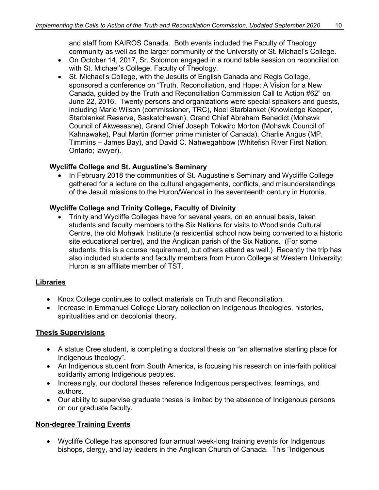and staff from KAIROS Canada. Both events included the Faculty of Theology community as well as the larger community of the University of St. Michael's College.

- On October 14, 2017, Sr. Solomon engaged in a round table session on reconciliation with St. Michael's College, Faculty of Theology.
- St. Michael's College, with the Jesuits of English Canada and Regis College, sponsored a conference on "Truth, Reconciliation, and Hope: A Vision for a New Canada, guided by the Truth and Reconciliation Commission Call to Action #62" on June 22, 2016. Twenty persons and organizations were special speakers and guests, including Marie Wilson (commissioner, TRC), Noel Starblanket (Knowledge Keeper, Starblanket Reserve, Saskatchewan), Grand Chief Abraham Benedict (Mohawk Council of Akwesasne), Grand Chief Joseph Tokwiro Morton (Mohawk Council of Kahnawake), Paul Martin (former prime minister of Canada), Charlie Angus (MP, Timmins – James Bay), and David C. Nahwegahbow (Whitefish River First Nation, Ontario; lawyer).

#### **Wycliffe College and St. Augustine's Seminary**

• In February 2018 the communities of St. Augustine's Seminary and Wycliffe College gathered for a lecture on the cultural engagements, conflicts, and misunderstandings of the Jesuit missions to the Huron/Wendat in the seventeenth century in Huronia.

## **Wycliffe College and Trinity College, Faculty of Divinity**

• Trinity and Wycliffe Colleges have for several years, on an annual basis, taken students and faculty members to the Six Nations for visits to Woodlands Cultural Centre, the old Mohawk Institute (a residential school now being converted to a historic site educational centre), and the Anglican parish of the Six Nations. (For some students, this is a course requirement, but others attend as well.) Recently the trip has also included students and faculty members from Huron College at Western University; Huron is an affiliate member of TST.

#### **Libraries**

- Knox College continues to collect materials on Truth and Reconciliation.
- Increase in Emmanuel College Library collection on Indigenous theologies, histories, spiritualities and on decolonial theory.

#### **Thesis Supervisions**

- A status Cree student, is completing a doctoral thesis on "an alternative starting place for Indigenous theology".
- An Indigenous student from South America, is focusing his research on interfaith political solidarity among Indigenous peoples.
- Increasingly, our doctoral theses reference Indigenous perspectives, learnings, and authors.
- Our ability to supervise graduate theses is limited by the absence of Indigenous persons on our graduate faculty.

#### **Non-degree Training Events**

• Wycliffe College has sponsored four annual week-long training events for Indigenous bishops, clergy, and lay leaders in the Anglican Church of Canada. This "Indigenous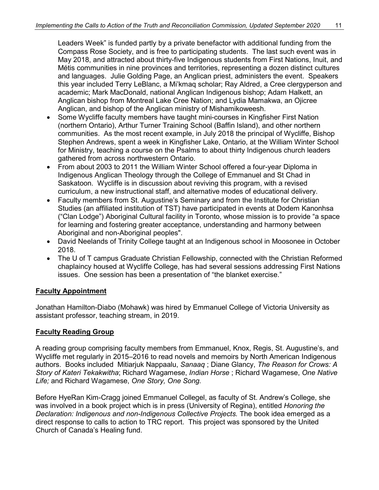Leaders Week" is funded partly by a private benefactor with additional funding from the Compass Rose Society, and is free to participating students. The last such event was in May 2018, and attracted about thirty-five Indigenous students from First Nations, Inuit, and Métis communities in nine provinces and territories, representing a dozen distinct cultures and languages. Julie Golding Page, an Anglican priest, administers the event. Speakers this year included Terry LeBlanc, a Mi'kmaq scholar; Ray Aldred, a Cree clergyperson and academic; Mark MacDonald, national Anglican Indigenous bishop; Adam Halkett, an Anglican bishop from Montreal Lake Cree Nation; and Lydia Mamakwa, an Ojicree Anglican, and bishop of the Anglican ministry of Mishamikoweesh.

- Some Wycliffe faculty members have taught mini-courses in Kingfisher First Nation (northern Ontario), Arthur Turner Training School (Baffin Island), and other northern communities. As the most recent example, in July 2018 the principal of Wycliffe, Bishop Stephen Andrews, spent a week in Kingfisher Lake, Ontario, at the William Winter School for Ministry, teaching a course on the Psalms to about thirty Indigenous church leaders gathered from across northwestern Ontario.
- From about 2003 to 2011 the William Winter School offered a four-year Diploma in Indigenous Anglican Theology through the College of Emmanuel and St Chad in Saskatoon. Wycliffe is in discussion about reviving this program, with a revised curriculum, a new instructional staff, and alternative modes of educational delivery.
- Faculty members from St. Augustine's Seminary and from the Institute for Christian Studies (an affiliated institution of TST) have participated in events at Dodem Kanonhsa ("Clan Lodge") Aboriginal Cultural facility in Toronto, whose mission is to provide "a space for learning and fostering greater acceptance, understanding and harmony between Aboriginal and non-Aboriginal peoples".
- David Neelands of Trinity College taught at an Indigenous school in Moosonee in October 2018.
- The U of T campus Graduate Christian Fellowship, connected with the Christian Reformed chaplaincy housed at Wycliffe College, has had several sessions addressing First Nations issues. One session has been a presentation of "the blanket exercise."

## **Faculty Appointment**

Jonathan Hamilton-Diabo (Mohawk) was hired by Emmanuel College of Victoria University as assistant professor, teaching stream, in 2019.

#### **Faculty Reading Group**

A reading group comprising faculty members from Emmanuel, Knox, Regis, St. Augustine's, and Wycliffe met regularly in 2015–2016 to read novels and memoirs by North American Indigenous authors. Books included Mitiarjuk Nappaalu, *Sanaaq* ; Diane Glancy, *The Reason for Crows: A Story of Kateri Tekakwitha*; Richard Wagamese, *Indian Horse* ; Richard Wagamese, *One Native Life;* and Richard Wagamese, *One Story, One Song.*

Before HyeRan Kim-Cragg joined Emmanuel Collegel, as faculty of St. Andrew's College, she was involved in a book project which is in press (University of Regina), entitled *Honoring the Declaration: Indigenous and non-Indigenous Collective Projects.* The book idea emerged as a direct response to calls to action to TRC report. This project was sponsored by the United Church of Canada's Healing fund.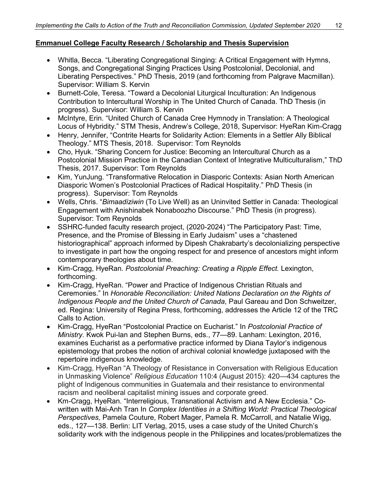# **Emmanuel College Faculty Research / Scholarship and Thesis Supervision**

- Whitla, Becca. "Liberating Congregational Singing: A Critical Engagement with Hymns, Songs, and Congregational Singing Practices Using Postcolonial, Decolonial, and Liberating Perspectives." PhD Thesis, 2019 (and forthcoming from Palgrave Macmillan). Supervisor: William S. Kervin
- Burnett-Cole, Teresa. "Toward a Decolonial Liturgical Inculturation: An Indigenous Contribution to Intercultural Worship in The United Church of Canada. ThD Thesis (in progress). Supervisor: William S. Kervin
- McIntyre, Erin. "United Church of Canada Cree Hymnody in Translation: A Theological Locus of Hybridity." STM Thesis, Andrew's College, 2018, Supervisor: HyeRan Kim-Cragg
- Henry, Jennifer, "Contrite Hearts for Solidarity Action: Elements in a Settler Ally Biblical Theology." MTS Thesis, 2018. Supervisor: Tom Reynolds
- Cho, Hyuk. "Sharing Concern for Justice: Becoming an Intercultural Church as a Postcolonial Mission Practice in the Canadian Context of Integrative Multiculturalism," ThD Thesis, 2017. Supervisor: Tom Reynolds
- Kim, YunJung. "Transformative Relocation in Diasporic Contexts: Asian North American Diasporic Women's Postcolonial Practices of Radical Hospitality." PhD Thesis (in progress). Supervisor: Tom Reynolds
- Wells, Chris. "*Bimaadiziwin* (To Live Well) as an Uninvited Settler in Canada: Theological Engagement with Anishinabek Nonaboozho Discourse." PhD Thesis (in progress). Supervisor: Tom Reynolds
- SSHRC-funded faculty research project, (2020-2024) "The Participatory Past: Time, Presence, and the Promise of Blessing in Early Judaism" uses a "chastened historiographical" approach informed by Dipesh Chakrabarty's decolonializing perspective to investigate in part how the ongoing respect for and presence of ancestors might inform contemporary theologies about time.
- Kim-Cragg, HyeRan. *Postcolonial Preaching: Creating a Ripple Effect.* Lexington, forthcoming.
- Kim-Cragg, HyeRan. "Power and Practice of Indigenous Christian Rituals and Ceremonies." In *Honorable Reconciliation: United Nations Declaration on the Rights of Indigenous People and the United Church of Canada*, Paul Gareau and Don Schweitzer, ed. Regina: University of Regina Press, forthcoming, addresses the Article 12 of the TRC Calls to Action.
- Kim-Cragg, HyeRan "Postcolonial Practice on Eucharist." In *Postcolonial Practice of Ministry.* Kwok Pui-lan and Stephen Burns, eds., 77—89. Lanham: Lexington, 2016, examines Eucharist as a performative practice informed by Diana Taylor's indigenous epistemology that probes the notion of archival colonial knowledge juxtaposed with the repertoire indigenous knowledge.
- Kim-Cragg, HyeRan "A Theology of Resistance in Conversation with Religious Education in Unmasking Violence" *Religious Education* 110:4 (August 2015): 420—434 captures the plight of Indigenous communities in Guatemala and their resistance to environmental racism and neoliberal capitalist mining issues and corporate greed.
- Km-Cragg, HyeRan. "Interreligious, Transnational Activism and A New Ecclesia." Cowritten with Mai-Anh Tran In *Complex Identities in a Shifting World: Practical Theological Perspectives,* Pamela Couture, Robert Mager, Pamela R. McCarroll, and Natalie Wigg, eds., 127—138. Berlin: LIT Verlag, 2015, uses a case study of the United Church's solidarity work with the indigenous people in the Philippines and locates/problematizes the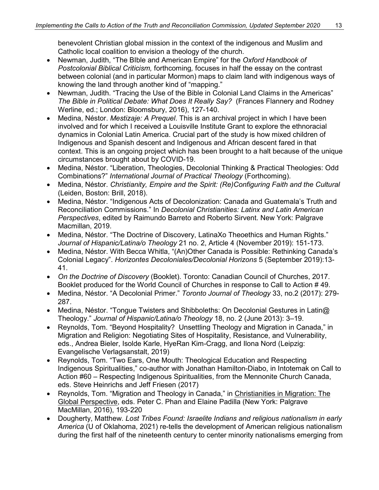benevolent Christian global mission in the context of the indigenous and Muslim and Catholic local coalition to envision a theology of the church.

- Newman, Judith, "The BIble and American Empire" for the *Oxford Handbook of Postcolonial Biblical Criticism,* forthcoming*,* focuses in half the essay on the contrast between colonial (and in particular Mormon) maps to claim land with indigenous ways of knowing the land through another kind of "mapping."
- Newman, Judith. "Tracing the Use of the Bible in Colonial Land Claims in the Americas" *The Bible in Political Debate: What Does It Really Say?* (Frances Flannery and Rodney Werline, ed.; London: Bloomsbury, 2016), 127-140.
- Medina, Néstor. *Mestizaje: A Prequel*. This is an archival project in which I have been involved and for which I received a Louisville Institute Grant to explore the ethnoracial dynamics in Colonial Latin America. Crucial part of the study is how mixed children of Indigenous and Spanish descent and Indigenous and African descent fared in that context. This is an ongoing project which has been brought to a halt because of the unique circumstances brought about by COVID-19.
- Medina, Néstor. "Liberation, Theologies, Decolonial Thinking & Practical Theologies: Odd Combinations?" *International Journal of Practical Theology* (Forthcoming).
- Medina, Néstor. *Christianity, Empire and the Spirit: (Re)Configuring Faith and the Cultural*  (Leiden, Boston: Brill, 2018).
- Medina, Néstor. "Indigenous Acts of Decolonization: Canada and Guatemala's Truth and Reconciliation Commissions." In *Decolonial Christianities: Latinx and Latin American Perspectives*, edited by Raimundo Barreto and Roberto Sirvent. New York: Palgrave Macmillan, 2019.
- Medina, Néstor. "The Doctrine of Discovery, LatinaXo Theoethics and Human Rights." *Journal of Hispanic/Latina/o Theology* 21 no. 2, Article 4 (November 2019): 151-173.
- Medina, Néstor. With Becca Whitla, "(An)Other Canada is Possible: Rethinking Canada's Colonial Legacy". *Horizontes Decoloniales/Decolonial Horizons* 5 (September 2019):13- 41.
- *On the Doctrine of Discovery* (Booklet). Toronto: Canadian Council of Churches, 2017. Booklet produced for the World Council of Churches in response to Call to Action # 49.
- Medina, Néstor. "A Decolonial Primer." *Toronto Journal of Theology* 33, no.2 (2017): 279- 287.
- Medina, Néstor. "Tongue Twisters and Shibboleths: On Decolonial Gestures in Latin@ Theology." *Journal of Hispanic/Latina/o Theology* 18, no. 2 (June 2013): 3–19.
- Reynolds, Tom. "Beyond Hospitality? Unsettling Theology and Migration in Canada," in Migration and Religion: Negotiating Sites of Hospitality, Resistance, and Vulnerability, eds., Andrea Bieler, Isolde Karle, HyeRan Kim-Cragg, and Ilona Nord (Leipzig: Evangelische Verlagsanstalt, 2019)
- Reynolds, Tom. "Two Ears, One Mouth: Theological Education and Respecting Indigenous Spiritualities," co-author with Jonathan Hamilton-Diabo, in Intotemak on Call to Action #60 – Respecting Indigenous Spiritualities, from the Mennonite Church Canada, eds. Steve Heinrichs and Jeff Friesen (2017)
- Reynolds, Tom. "Migration and Theology in Canada," in Christianities in Migration: The Global Perspective, eds. Peter C. Phan and Elaine Padilla (New York: Palgrave MacMillan, 2016), 193-220
- Dougherty, Matthew. *Lost Tribes Found: Israelite Indians and religious nationalism in early America* (U of Oklahoma, 2021) re-tells the development of American religious nationalism during the first half of the nineteenth century to center minority nationalisms emerging from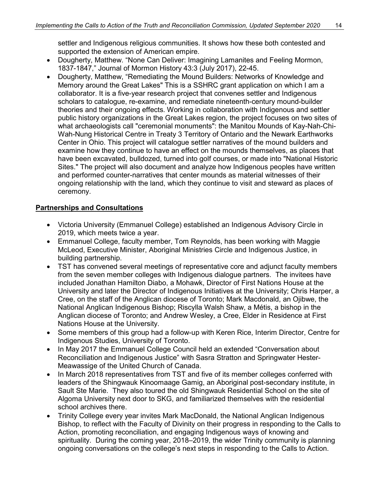settler and Indigenous religious communities. It shows how these both contested and supported the extension of American empire.

- Dougherty, Matthew. "None Can Deliver: Imagining Lamanites and Feeling Mormon, 1837-1847," Journal of Mormon History 43:3 (July 2017), 22-45.
- Dougherty, Matthew, "Remediating the Mound Builders: Networks of Knowledge and Memory around the Great Lakes" This is a SSHRC grant application on which I am a collaborator. It is a five-year research project that convenes settler and Indigenous scholars to catalogue, re-examine, and remediate nineteenth-century mound-builder theories and their ongoing effects. Working in collaboration with Indigenous and settler public history organizations in the Great Lakes region, the project focuses on two sites of what archaeologists call "ceremonial monuments": the Manitou Mounds of Kay-Nah-Chi-Wah-Nung Historical Centre in Treaty 3 Territory of Ontario and the Newark Earthworks Center in Ohio. This project will catalogue settler narratives of the mound builders and examine how they continue to have an effect on the mounds themselves, as places that have been excavated, bulldozed, turned into golf courses, or made into "National Historic Sites." The project will also document and analyze how Indigenous peoples have written and performed counter-narratives that center mounds as material witnesses of their ongoing relationship with the land, which they continue to visit and steward as places of ceremony.

## **Partnerships and Consultations**

- Victoria University (Emmanuel College) established an Indigenous Advisory Circle in 2019, which meets twice a year.
- Emmanuel College, faculty member, Tom Reynolds, has been working with Maggie McLeod, Executive Minister, Aboriginal Ministries Circle and Indigenous Justice, in building partnership.
- TST has convened several meetings of representative core and adjunct faculty members from the seven member colleges with Indigenous dialogue partners. The invitees have included Jonathan Hamilton Diabo, a Mohawk, Director of First Nations House at the University and later the Director of Indigenous Initiatives at the University; Chris Harper, a Cree, on the staff of the Anglican diocese of Toronto; Mark Macdonald, an Ojibwe, the National Anglican Indigenous Bishop; Riscylla Walsh Shaw, a Métis, a bishop in the Anglican diocese of Toronto; and Andrew Wesley, a Cree, Elder in Residence at First Nations House at the University.
- Some members of this group had a follow-up with Keren Rice, Interim Director, Centre for Indigenous Studies, University of Toronto.
- In May 2017 the Emmanuel College Council held an extended "Conversation about Reconciliation and Indigenous Justice" with Sasra Stratton and Springwater Hester-Meawassige of the United Church of Canada.
- In March 2018 representatives from TST and five of its member colleges conferred with leaders of the Shingwauk Kinoomaage Gamig, an Aboriginal post-secondary institute, in Sault Ste Marie. They also toured the old Shingwauk Residential School on the site of Algoma University next door to SKG, and familiarized themselves with the residential school archives there.
- Trinity College every year invites Mark MacDonald, the National Anglican Indigenous Bishop, to reflect with the Faculty of Divinity on their progress in responding to the Calls to Action, promoting reconciliation, and engaging Indigenous ways of knowing and spirituality. During the coming year, 2018–2019, the wider Trinity community is planning ongoing conversations on the college's next steps in responding to the Calls to Action.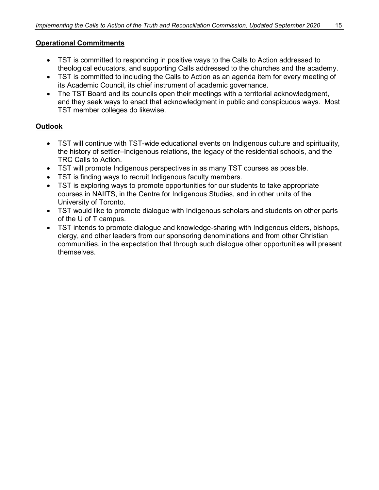# **Operational Commitments**

- TST is committed to responding in positive ways to the Calls to Action addressed to theological educators, and supporting Calls addressed to the churches and the academy.
- TST is committed to including the Calls to Action as an agenda item for every meeting of its Academic Council, its chief instrument of academic governance.
- The TST Board and its councils open their meetings with a territorial acknowledgment, and they seek ways to enact that acknowledgment in public and conspicuous ways. Most TST member colleges do likewise.

# **Outlook**

- TST will continue with TST-wide educational events on Indigenous culture and spirituality, the history of settler–Indigenous relations, the legacy of the residential schools, and the TRC Calls to Action.
- TST will promote Indigenous perspectives in as many TST courses as possible.
- TST is finding ways to recruit Indigenous faculty members.
- TST is exploring ways to promote opportunities for our students to take appropriate courses in NAIITS, in the Centre for Indigenous Studies, and in other units of the University of Toronto.
- TST would like to promote dialogue with Indigenous scholars and students on other parts of the U of T campus.
- TST intends to promote dialogue and knowledge-sharing with Indigenous elders, bishops, clergy, and other leaders from our sponsoring denominations and from other Christian communities, in the expectation that through such dialogue other opportunities will present themselves.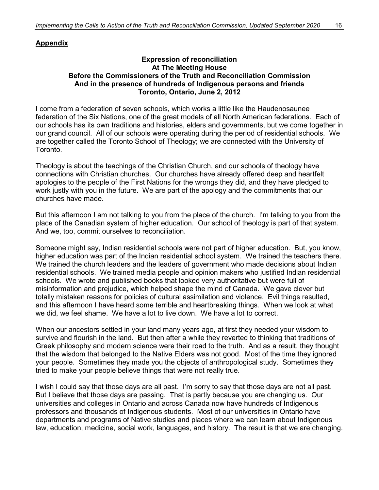# **Appendix**

#### **Expression of reconciliation At The Meeting House Before the Commissioners of the Truth and Reconciliation Commission And in the presence of hundreds of Indigenous persons and friends Toronto, Ontario, June 2, 2012**

I come from a federation of seven schools, which works a little like the Haudenosaunee federation of the Six Nations, one of the great models of all North American federations. Each of our schools has its own traditions and histories, elders and governments, but we come together in our grand council. All of our schools were operating during the period of residential schools. We are together called the Toronto School of Theology; we are connected with the University of Toronto.

Theology is about the teachings of the Christian Church, and our schools of theology have connections with Christian churches. Our churches have already offered deep and heartfelt apologies to the people of the First Nations for the wrongs they did, and they have pledged to work justly with you in the future. We are part of the apology and the commitments that our churches have made.

But this afternoon I am not talking to you from the place of the church. I'm talking to you from the place of the Canadian system of higher education. Our school of theology is part of that system. And we, too, commit ourselves to reconciliation.

Someone might say, Indian residential schools were not part of higher education. But, you know, higher education was part of the Indian residential school system. We trained the teachers there. We trained the church leaders and the leaders of government who made decisions about Indian residential schools. We trained media people and opinion makers who justified Indian residential schools. We wrote and published books that looked very authoritative but were full of misinformation and prejudice, which helped shape the mind of Canada. We gave clever but totally mistaken reasons for policies of cultural assimilation and violence. Evil things resulted, and this afternoon I have heard some terrible and heartbreaking things. When we look at what we did, we feel shame. We have a lot to live down. We have a lot to correct.

When our ancestors settled in your land many years ago, at first they needed your wisdom to survive and flourish in the land. But then after a while they reverted to thinking that traditions of Greek philosophy and modern science were their road to the truth. And as a result, they thought that the wisdom that belonged to the Native Elders was not good. Most of the time they ignored your people. Sometimes they made you the objects of anthropological study. Sometimes they tried to make your people believe things that were not really true.

I wish I could say that those days are all past. I'm sorry to say that those days are not all past. But I believe that those days are passing. That is partly because you are changing us. Our universities and colleges in Ontario and across Canada now have hundreds of Indigenous professors and thousands of Indigenous students. Most of our universities in Ontario have departments and programs of Native studies and places where we can learn about Indigenous law, education, medicine, social work, languages, and history. The result is that we are changing.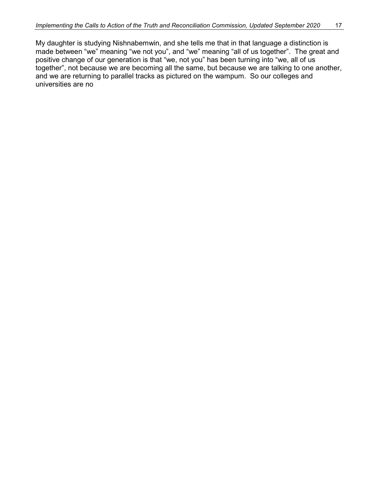My daughter is studying Nishnabemwin, and she tells me that in that language a distinction is made between "we" meaning "we not you", and "we" meaning "all of us together". The great and positive change of our generation is that "we, not you" has been turning into "we, all of us together", not because we are becoming all the same, but because we are talking to one another, and we are returning to parallel tracks as pictured on the wampum. So our colleges and universities are no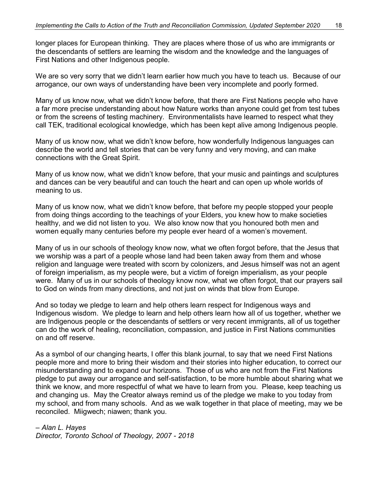longer places for European thinking. They are places where those of us who are immigrants or the descendants of settlers are learning the wisdom and the knowledge and the languages of First Nations and other Indigenous people.

We are so very sorry that we didn't learn earlier how much you have to teach us. Because of our arrogance, our own ways of understanding have been very incomplete and poorly formed.

Many of us know now, what we didn't know before, that there are First Nations people who have a far more precise understanding about how Nature works than anyone could get from test tubes or from the screens of testing machinery. Environmentalists have learned to respect what they call TEK, traditional ecological knowledge, which has been kept alive among Indigenous people.

Many of us know now, what we didn't know before, how wonderfully Indigenous languages can describe the world and tell stories that can be very funny and very moving, and can make connections with the Great Spirit.

Many of us know now, what we didn't know before, that your music and paintings and sculptures and dances can be very beautiful and can touch the heart and can open up whole worlds of meaning to us.

Many of us know now, what we didn't know before, that before my people stopped your people from doing things according to the teachings of your Elders, you knew how to make societies healthy, and we did not listen to you. We also know now that you honoured both men and women equally many centuries before my people ever heard of a women's movement.

Many of us in our schools of theology know now, what we often forgot before, that the Jesus that we worship was a part of a people whose land had been taken away from them and whose religion and language were treated with scorn by colonizers, and Jesus himself was not an agent of foreign imperialism, as my people were, but a victim of foreign imperialism, as your people were. Many of us in our schools of theology know now, what we often forgot, that our prayers sail to God on winds from many directions, and not just on winds that blow from Europe.

And so today we pledge to learn and help others learn respect for Indigenous ways and Indigenous wisdom. We pledge to learn and help others learn how all of us together, whether we are Indigenous people or the descendants of settlers or very recent immigrants, all of us together can do the work of healing, reconciliation, compassion, and justice in First Nations communities on and off reserve.

As a symbol of our changing hearts, I offer this blank journal, to say that we need First Nations people more and more to bring their wisdom and their stories into higher education, to correct our misunderstanding and to expand our horizons. Those of us who are not from the First Nations pledge to put away our arrogance and self-satisfaction, to be more humble about sharing what we think we know, and more respectful of what we have to learn from you. Please, keep teaching us and changing us. May the Creator always remind us of the pledge we make to you today from my school, and from many schools. And as we walk together in that place of meeting, may we be reconciled. Miigwech; niawen; thank you.

*– Alan L. Hayes*

*Director, Toronto School of Theology, 2007 - 2018*